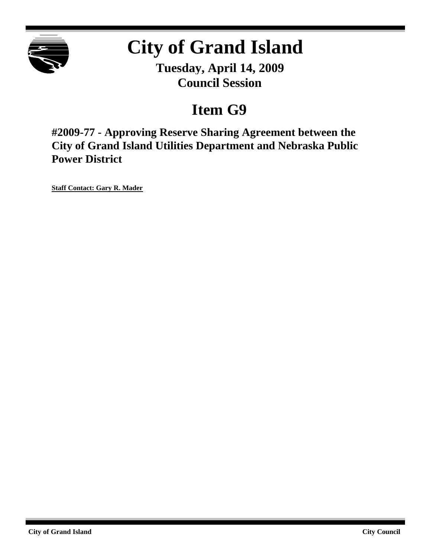

# **City of Grand Island**

**Tuesday, April 14, 2009 Council Session**

## **Item G9**

**#2009-77 - Approving Reserve Sharing Agreement between the City of Grand Island Utilities Department and Nebraska Public Power District**

**Staff Contact: Gary R. Mader**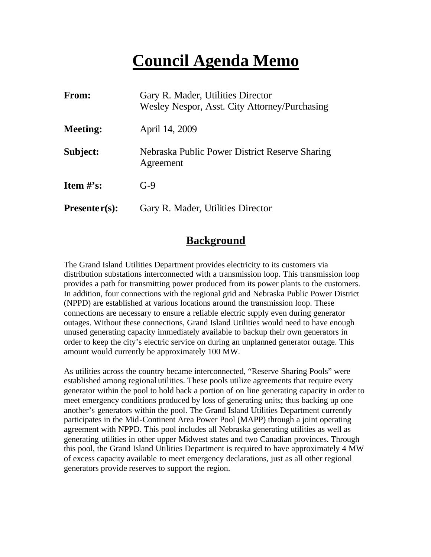## **Council Agenda Memo**

| <b>From:</b>    | Gary R. Mader, Utilities Director<br>Wesley Nespor, Asst. City Attorney/Purchasing |  |
|-----------------|------------------------------------------------------------------------------------|--|
| <b>Meeting:</b> | April 14, 2009                                                                     |  |
| Subject:        | Nebraska Public Power District Reserve Sharing<br>Agreement                        |  |
| Item $\#$ 's:   | $G-9$                                                                              |  |
| $Presenter(s):$ | Gary R. Mader, Utilities Director                                                  |  |

### **Background**

The Grand Island Utilities Department provides electricity to its customers via distribution substations interconnected with a transmission loop. This transmission loop provides a path for transmitting power produced from its power plants to the customers. In addition, four connections with the regional grid and Nebraska Public Power District (NPPD) are established at various locations around the transmission loop. These connections are necessary to ensure a reliable electric supply even during generator outages. Without these connections, Grand Island Utilities would need to have enough unused generating capacity immediately available to backup their own generators in order to keep the city's electric service on during an unplanned generator outage. This amount would currently be approximately 100 MW.

As utilities across the country became interconnected, "Reserve Sharing Pools" were established among regional utilities. These pools utilize agreements that require every generator within the pool to hold back a portion of on line generating capacity in order to meet emergency conditions produced by loss of generating units; thus backing up one another's generators within the pool. The Grand Island Utilities Department currently participates in the Mid-Continent Area Power Pool (MAPP) through a joint operating agreement with NPPD. This pool includes all Nebraska generating utilities as well as generating utilities in other upper Midwest states and two Canadian provinces. Through this pool, the Grand Island Utilities Department is required to have approximately 4 MW of excess capacity available to meet emergency declarations, just as all other regional generators provide reserves to support the region.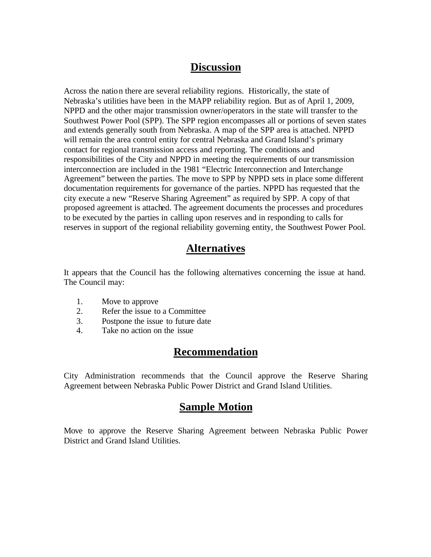## **Discussion**

Across the nation there are several reliability regions. Historically, the state of Nebraska's utilities have been in the MAPP reliability region. But as of April 1, 2009, NPPD and the other major transmission owner/operators in the state will transfer to the Southwest Power Pool (SPP). The SPP region encompasses all or portions of seven states and extends generally south from Nebraska. A map of the SPP area is attached. NPPD will remain the area control entity for central Nebraska and Grand Island's primary contact for regional transmission access and reporting. The conditions and responsibilities of the City and NPPD in meeting the requirements of our transmission interconnection are included in the 1981 "Electric Interconnection and Interchange Agreement" between the parties. The move to SPP by NPPD sets in place some different documentation requirements for governance of the parties. NPPD has requested that the city execute a new "Reserve Sharing Agreement" as required by SPP. A copy of that proposed agreement is attached. The agreement documents the processes and procedures to be executed by the parties in calling upon reserves and in responding to calls for reserves in support of the regional reliability governing entity, the Southwest Power Pool.

## **Alternatives**

It appears that the Council has the following alternatives concerning the issue at hand. The Council may:

- 1. Move to approve
- 2. Refer the issue to a Committee
- 3. Postpone the issue to future date
- 4. Take no action on the issue

## **Recommendation**

City Administration recommends that the Council approve the Reserve Sharing Agreement between Nebraska Public Power District and Grand Island Utilities.

## **Sample Motion**

Move to approve the Reserve Sharing Agreement between Nebraska Public Power District and Grand Island Utilities.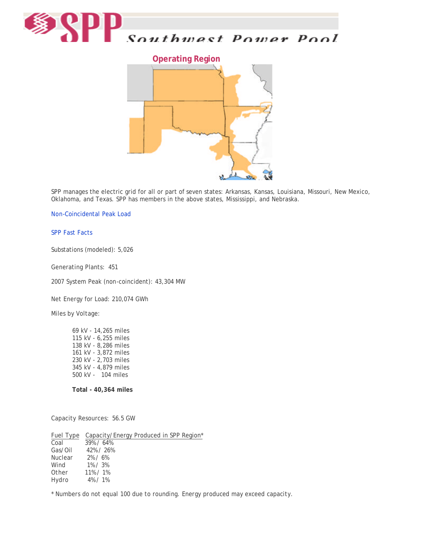



SPP manages the electric grid for all or part of seven states: Arkansas, Kansas, Louisiana, Missouri, New Mexico, Oklahoma, and Texas. SPP has members in the above states, Mississippi, and Nebraska.

Non-Coincidental Peak Load

#### SPP Fast Facts

Substations (modeled): 5,026

Generating Plants: 451

2007 System Peak (non-coincident): 43,304 MW

Net Energy for Load: 210,074 GWh

Miles by Voltage:

69 kV - 14,265 miles 115 kV - 6,255 miles 138 kV - 8,286 miles 161 kV - 3,872 miles 230 kV - 2,703 miles 345 kV - 4,879 miles 500 kV - 104 miles

**Total - 40,364 miles**

Capacity Resources: 56.5 GW

| Fuel Type      | Capacity/Energy Produced in SPP Region* |
|----------------|-----------------------------------------|
| Coal           | $39\% / 64\%$                           |
| Gas/Oil        | 42% / 26%                               |
| <b>Nuclear</b> | $2\% / 6\%$                             |
| Wind           | $1\% / 3\%$                             |
| Other          | $11\% / 1\%$                            |
| Hydro          | $4\% / 1\%$                             |
|                |                                         |

*\* Numbers do not equal 100 due to rounding. Energy produced may exceed capacity*.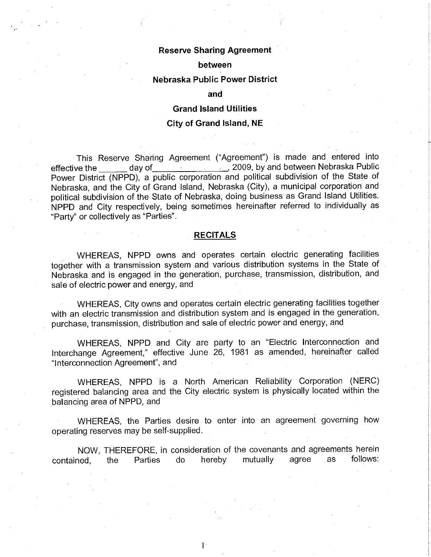#### **Reserve Sharing Agreement**

#### between

#### Nebraska Public Power District

#### and

#### **Grand Island Utilities**

#### **City of Grand Island, NE**

This Reserve Sharing Agreement ("Agreement") is made and entered into effective the Power District (NPPD), a public corporation and political subdivision of the State of Nebraska, and the City of Grand Island, Nebraska (City), a municipal corporation and political subdivision of the State of Nebraska, doing business as Grand Island Utilities. NPPD and City respectively, being sometimes hereinafter referred to individually as "Party" or collectively as "Parties".

#### **RECITALS**

WHEREAS, NPPD owns and operates certain electric generating facilities together with a transmission system and various distribution systems in the State of Nebraska and is engaged in the generation, purchase, transmission, distribution, and sale of electric power and energy, and

WHEREAS, City owns and operates certain electric generating facilities together with an electric transmission and distribution system and is engaged in the generation, purchase, transmission, distribution and sale of electric power and energy, and

WHEREAS, NPPD and City are party to an "Electric Interconnection and Interchange Agreement," effective June 26, 1981 as amended, hereinafter called "Interconnection Agreement", and

WHEREAS, NPPD is a North American Reliability Corporation (NERC) registered balancing area and the City electric system is physically located within the balancing area of NPPD, and

WHEREAS, the Parties desire to enter into an agreement governing how operating reserves may be self-supplied.

NOW, THEREFORE, in consideration of the covenants and agreements herein follows: mutually agree Parties do hereby as contained. the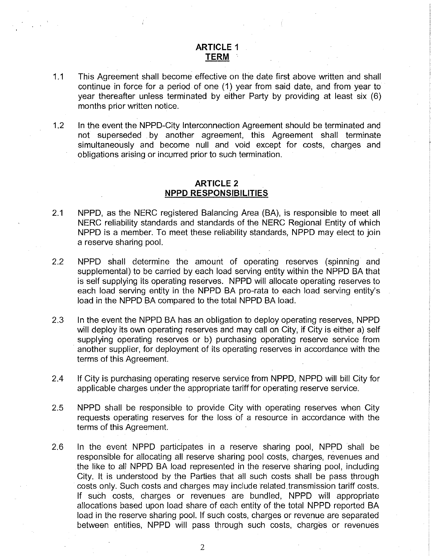#### **ARTICLE 1 TERM**

- $1.1$ This Agreement shall become effective on the date first above written and shall continue in force for a period of one (1) year from said date, and from year to year thereafter unless terminated by either Party by providing at least six (6) months prior written notice.
- $1.2$ In the event the NPPD-City Interconnection Agreement should be terminated and not superseded by another agreement, this Agreement shall terminate simultaneously and become null and void except for costs, charges and obligations arising or incurred prior to such termination.

#### **ARTICLE 2 NPPD RESPONSIBILITIES**

- $2.1$ NPPD, as the NERC registered Balancing Area (BA), is responsible to meet all NERC reliability standards and standards of the NERC Regional Entity of which NPPD is a member. To meet these reliability standards, NPPD may elect to join a reserve sharing pool.
- $2.2$ NPPD shall determine the amount of operating reserves (spinning and supplemental) to be carried by each load serving entity within the NPPD BA that is self supplying its operating reserves. NPPD will allocate operating reserves to each load serving entity in the NPPD BA pro-rata to each load serving entity's load in the NPPD BA compared to the total NPPD BA load.
- 2.3 In the event the NPPD BA has an obligation to deploy operating reserves, NPPD will deploy its own operating reserves and may call on City, if City is either a) self supplying operating reserves or b) purchasing operating reserve service from another supplier, for deployment of its operating reserves in accordance with the terms of this Agreement.
- 2.4 If City is purchasing operating reserve service from NPPD, NPPD will bill City for applicable charges under the appropriate tariff for operating reserve service.
- $2.5$ NPPD shall be responsible to provide City with operating reserves when City requests operating reserves for the loss of a resource in accordance with the terms of this Agreement.
- $2.6$ In the event NPPD participates in a reserve sharing pool. NPPD shall be responsible for allocating all reserve sharing pool costs, charges, revenues and the like to all NPPD BA load represented in the reserve sharing pool, including City. It is understood by the Parties that all such costs shall be pass through costs only. Such costs and charges may include related transmission tariff costs. If such costs, charges or revenues are bundled, NPPD will appropriate allocations based upon load share of each entity of the total NPPD reported BA load in the reserve sharing pool. If such costs, charges or revenue are separated between entities, NPPD will pass through such costs, charges or revenues

 $\overline{2}$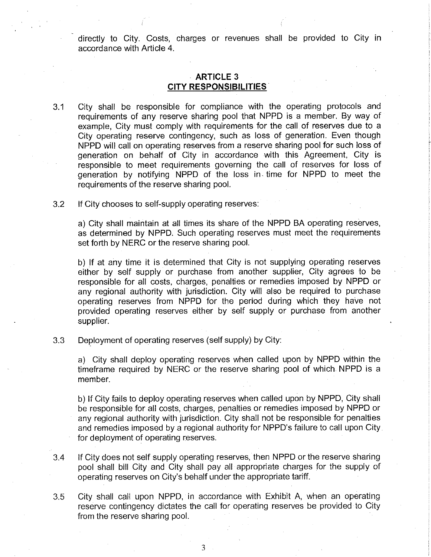directly to City. Costs, charges or revenues shall be provided to City in accordance with Article 4.

#### **ARTICLE 3 CITY RESPONSIBILITIES**

- City shall be responsible for compliance with the operating protocols and  $3.1$ requirements of any reserve sharing pool that NPPD is a member. By way of example, City must comply with requirements for the call of reserves due to a City operating reserve contingency, such as loss of generation. Even though NPPD will call on operating reserves from a reserve sharing pool for such loss of generation on behalf of City in accordance with this Agreement, City is responsible to meet requirements governing the call of reserves for loss of generation by notifying NPPD of the loss in time for NPPD to meet the requirements of the reserve sharing pool.
- $3.2$ If City chooses to self-supply operating reserves:

a) City shall maintain at all times its share of the NPPD BA operating reserves, as determined by NPPD. Such operating reserves must meet the requirements set forth by NERC or the reserve sharing pool.

b) If at any time it is determined that City is not supplying operating reserves either by self supply or purchase from another supplier, City agrees to be responsible for all costs, charges, penalties or remedies imposed by NPPD or any regional authority with jurisdiction. City will also be required to purchase operating reserves from NPPD for the period during which they have not provided operating reserves either by self supply or purchase from another supplier.

Deployment of operating reserves (self supply) by City:  $3.3$ 

> a) City shall deploy operating reserves when called upon by NPPD within the timeframe required by NERC or the reserve sharing pool of which NPPD is a member.

> b) If City fails to deploy operating reserves when called upon by NPPD, City shall be responsible for all costs, charges, penalties or remedies imposed by NPPD or any regional authority with jurisdiction. City shall not be responsible for penalties and remedies imposed by a regional authority for NPPD's failure to call upon City for deployment of operating reserves.

- If City does not self supply operating reserves, then NPPD or the reserve sharing  $3.4$ pool shall bill City and City shall pay all appropriate charges for the supply of operating reserves on City's behalf under the appropriate tariff.
- City shall call upon NPPD, in accordance with Exhibit A, when an operating  $3.5$ reserve contingency dictates the call for operating reserves be provided to City from the reserve sharing pool.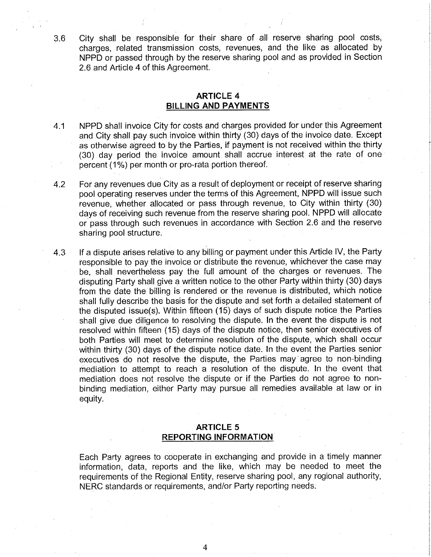$3.6$ City shall be responsible for their share of all reserve sharing pool costs, charges, related transmission costs, revenues, and the like as allocated by NPPD or passed through by the reserve sharing pool and as provided in Section 2.6 and Article 4 of this Agreement.

#### **ARTICLE 4 BILLING AND PAYMENTS**

- NPPD shall invoice City for costs and charges provided for under this Agreement  $4.1$ and City shall pay such invoice within thirty (30) days of the invoice date. Except as otherwise agreed to by the Parties, if payment is not received within the thirty (30) day period the invoice amount shall accrue interest at the rate of one percent (1%) per month or pro-rata portion thereof.
- For any revenues due City as a result of deployment or receipt of reserve sharing  $4.2$ pool operating reserves under the terms of this Agreement, NPPD will issue such revenue, whether allocated or pass through revenue, to City within thirty (30) days of receiving such revenue from the reserve sharing pool. NPPD will allocate or pass through such revenues in accordance with Section 2.6 and the reserve sharing pool structure.
- If a dispute arises relative to any billing or payment under this Article IV, the Party 4.3 responsible to pay the invoice or distribute the revenue, whichever the case mav be, shall nevertheless pay the full amount of the charges or revenues. The disputing Party shall give a written notice to the other Party within thirty (30) days from the date the billing is rendered or the revenue is distributed, which notice shall fully describe the basis for the dispute and set forth a detailed statement of the disputed issue(s). Within fifteen (15) days of such dispute notice the Parties shall give due diligence to resolving the dispute. In the event the dispute is not resolved within fifteen (15) days of the dispute notice, then senior executives of both Parties will meet to determine resolution of the dispute, which shall occur within thirty (30) days of the dispute notice date. In the event the Parties senior executives do not resolve the dispute, the Parties may agree to non-binding mediation to attempt to reach a resolution of the dispute. In the event that mediation does not resolve the dispute or if the Parties do not agree to nonbinding mediation, either Party may pursue all remedies available at law or in equity.

#### **ARTICLE 5 REPORTING INFORMATION**

Each Party agrees to cooperate in exchanging and provide in a timely manner information, data, reports and the like, which may be needed to meet the requirements of the Regional Entity, reserve sharing pool, any regional authority, NERC standards or requirements, and/or Party reporting needs:

 $\overline{4}$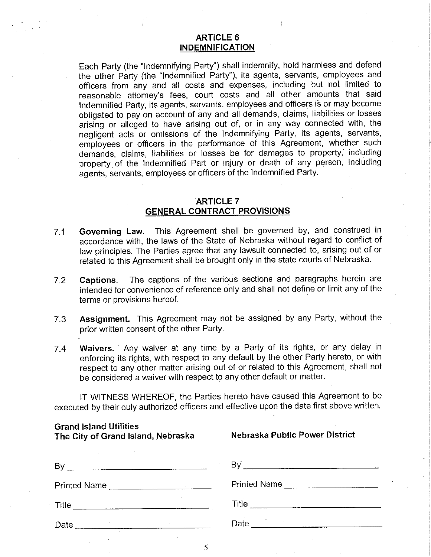#### **ARTICLE 6 INDEMNIFICATION**

Each Party (the "Indemnifying Party") shall indemnify, hold harmless and defend the other Party (the "Indemnified Party"), its agents, servants, employees and officers from any and all costs and expenses, including but not limited to reasonable attorney's fees, court costs and all other amounts that said Indemnified Party, its agents, servants, employees and officers is or may become obligated to pay on account of any and all demands, claims, liabilities or losses arising or alleged to have arising out of, or in any way connected with, the negligent acts or omissions of the Indemnifying Party, its agents, servants, employees or officers in the performance of this Agreement, whether such demands, claims, liabilities or losses be for damages to property, including property of the Indemnified Part or injury or death of any person, including agents, servants, employees or officers of the Indemnified Party.

#### **ARTICLE 7 GENERAL CONTRACT PROVISIONS**

- Governing Law. This Agreement shall be governed by, and construed in  $7.1$ accordance with, the laws of the State of Nebraska without regard to conflict of law principles. The Parties agree that any lawsuit connected to, arising out of or related to this Agreement shall be brought only in the state courts of Nebraska.
- The captions of the various sections and paragraphs herein are  $7.2$ Captions. intended for convenience of reference only and shall not define or limit any of the terms or provisions hereof.
- Assignment. This Agreement may not be assigned by any Party, without the  $7.3$ prior written consent of the other Party.
- Waivers. Any waiver at any time by a Party of its rights, or any delay in  $7.4$ enforcing its rights, with respect to any default by the other Party hereto, or with respect to any other matter arising out of or related to this Agreement, shall not be considered a waiver with respect to any other default or matter.

IT WITNESS WHEREOF, the Parties hereto have caused this Agreement to be executed by their duly authorized officers and effective upon the date first above written.

#### **Grand Island Utilities** The City of Grand Island, Nebraska

Nebraska Public Power District

| By                  |                     |
|---------------------|---------------------|
| <b>Printed Name</b> | <b>Printed Name</b> |
| Title               | Title               |
| Date                | Date                |

5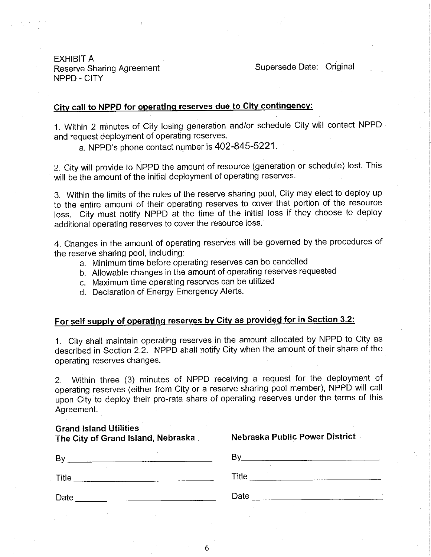Supersede Date: Original

**EXHIBIT A Reserve Sharing Agreement** NPPD - CITY

#### City call to NPPD for operating reserves due to City contingency:

1. Within 2 minutes of City losing generation and/or schedule City will contact NPPD and request deployment of operating reserves.

a. NPPD's phone contact number is 402-845-5221.

2. City will provide to NPPD the amount of resource (generation or schedule) lost. This will be the amount of the initial deployment of operating reserves.

3. Within the limits of the rules of the reserve sharing pool, City may elect to deploy up to the entire amount of their operating reserves to cover that portion of the resource loss. City must notify NPPD at the time of the initial loss if they choose to deploy additional operating reserves to cover the resource loss.

4. Changes in the amount of operating reserves will be governed by the procedures of the reserve sharing pool, including:

- a. Minimum time before operating reserves can be cancelled
- b. Allowable changes in the amount of operating reserves requested
- c. Maximum time operating reserves can be utilized
- d. Declaration of Energy Emergency Alerts.

## For self supply of operating reserves by City as provided for in Section 3.2:

1. City shall maintain operating reserves in the amount allocated by NPPD to City as described in Section 2.2. NPPD shall notify City when the amount of their share of the operating reserves changes.

Within three (3) minutes of NPPD receiving a request for the deployment of  $2.$ operating reserves (either from City or a reserve sharing pool member), NPPD will call upon City to deploy their pro-rata share of operating reserves under the terms of this Agreement.

| <b>Grand Island Utilities</b><br>The City of Grand Island, Nebraska | Nebraska Public Power District |  |  |
|---------------------------------------------------------------------|--------------------------------|--|--|
| By                                                                  | By                             |  |  |
| Title                                                               | Title                          |  |  |
| Date                                                                | Date                           |  |  |

6